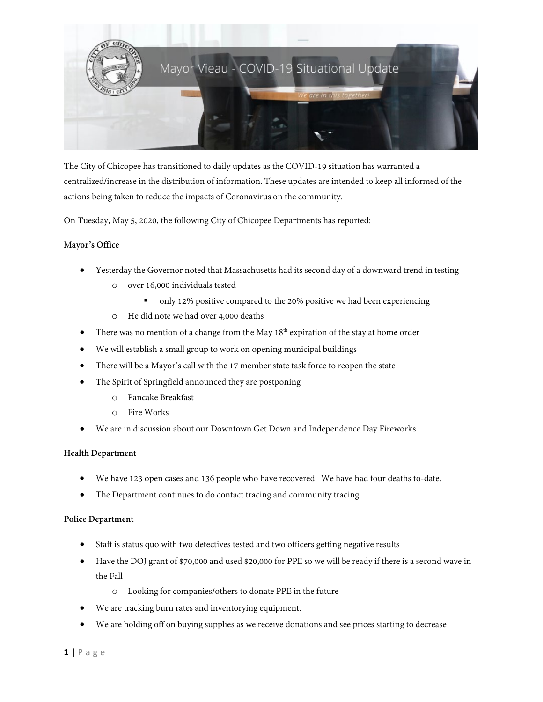

The City of Chicopee has transitioned to daily updates as the COVID-19 situation has warranted a centralized/increase in the distribution of information. These updates are intended to keep all informed of the actions being taken to reduce the impacts of Coronavirus on the community.

On Tuesday, May 5, 2020, the following City of Chicopee Departments has reported:

# M**ayor's Office**

- Yesterday the Governor noted that Massachusetts had its second day of a downward trend in testing
	- o over 16,000 individuals tested
		- only 12% positive compared to the 20% positive we had been experiencing
	- o He did note we had over 4,000 deaths
- There was no mention of a change from the May  $18<sup>th</sup>$  expiration of the stay at home order
- We will establish a small group to work on opening municipal buildings
- There will be a Mayor's call with the 17 member state task force to reopen the state
- The Spirit of Springfield announced they are postponing
	- o Pancake Breakfast
	- o Fire Works
- We are in discussion about our Downtown Get Down and Independence Day Fireworks

# **Health Department**

- We have 123 open cases and 136 people who have recovered. We have had four deaths to-date.
- The Department continues to do contact tracing and community tracing

# **Police Department**

- Staff is status quo with two detectives tested and two officers getting negative results
- Have the DOJ grant of \$70,000 and used \$20,000 for PPE so we will be ready if there is a second wave in the Fall
	- o Looking for companies/others to donate PPE in the future
- We are tracking burn rates and inventorying equipment.
- We are holding off on buying supplies as we receive donations and see prices starting to decrease